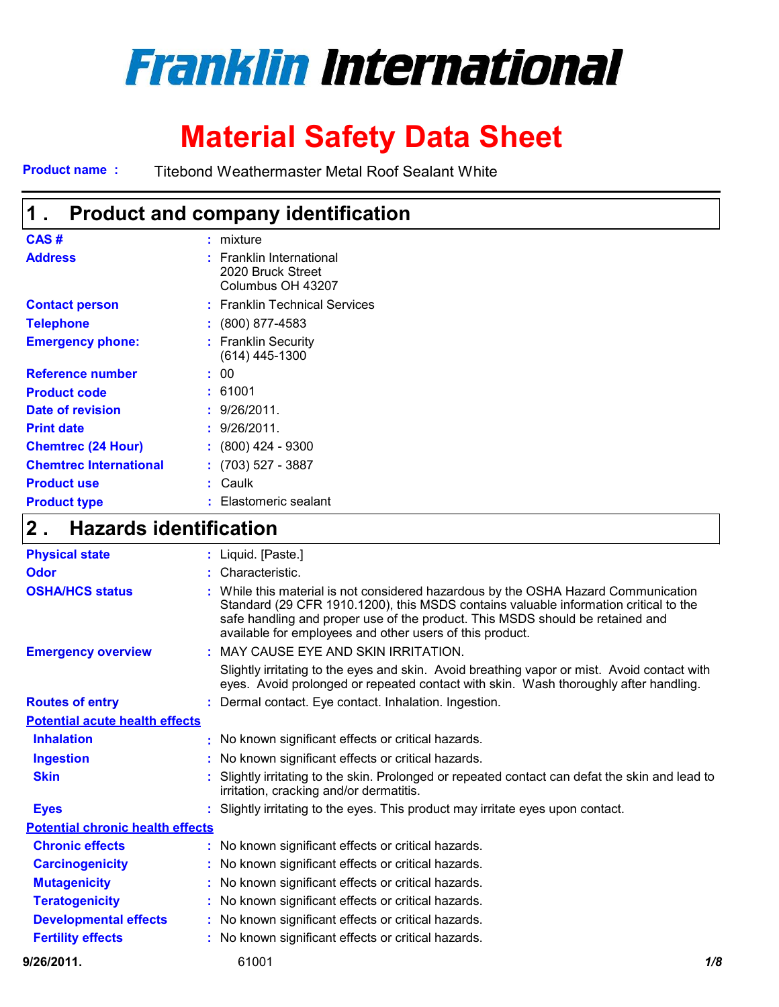# **Franklin International**

## **Material Safety Data Sheet**

**Product name :** Titebond Weathermaster Metal Roof Sealant White

| 1 .                           | <b>Product and company identification</b>                          |
|-------------------------------|--------------------------------------------------------------------|
| CAS#                          | $:$ mixture                                                        |
| <b>Address</b>                | : Franklin International<br>2020 Bruck Street<br>Columbus OH 43207 |
| <b>Contact person</b>         | : Franklin Technical Services                                      |
| <b>Telephone</b>              | $\div$ (800) 877-4583                                              |
| <b>Emergency phone:</b>       | : Franklin Security<br>(614) 445-1300                              |
| <b>Reference number</b>       | : 00                                                               |
| <b>Product code</b>           | : 61001                                                            |
| Date of revision              | : 9/26/2011.                                                       |
| <b>Print date</b>             | : 9/26/2011.                                                       |
| <b>Chemtrec (24 Hour)</b>     | $: (800)$ 424 - 9300                                               |
| <b>Chemtrec International</b> | $: (703) 527 - 3887$                                               |
| <b>Product use</b>            | : Caulk                                                            |
| <b>Product type</b>           | Elastomeric sealant                                                |

## **Hazards identification 2 .**

| <b>Physical state</b>                   | : Liquid. [Paste.]                                                                                                                                                                                                                                                                                                      |     |
|-----------------------------------------|-------------------------------------------------------------------------------------------------------------------------------------------------------------------------------------------------------------------------------------------------------------------------------------------------------------------------|-----|
| Odor                                    | : Characteristic.                                                                                                                                                                                                                                                                                                       |     |
| <b>OSHA/HCS status</b>                  | : While this material is not considered hazardous by the OSHA Hazard Communication<br>Standard (29 CFR 1910.1200), this MSDS contains valuable information critical to the<br>safe handling and proper use of the product. This MSDS should be retained and<br>available for employees and other users of this product. |     |
| <b>Emergency overview</b>               | : MAY CAUSE EYE AND SKIN IRRITATION.                                                                                                                                                                                                                                                                                    |     |
|                                         | Slightly irritating to the eyes and skin. Avoid breathing vapor or mist. Avoid contact with<br>eyes. Avoid prolonged or repeated contact with skin. Wash thoroughly after handling.                                                                                                                                     |     |
| <b>Routes of entry</b>                  | : Dermal contact. Eye contact. Inhalation. Ingestion.                                                                                                                                                                                                                                                                   |     |
| <b>Potential acute health effects</b>   |                                                                                                                                                                                                                                                                                                                         |     |
| <b>Inhalation</b>                       | : No known significant effects or critical hazards.                                                                                                                                                                                                                                                                     |     |
| <b>Ingestion</b>                        | : No known significant effects or critical hazards.                                                                                                                                                                                                                                                                     |     |
| <b>Skin</b>                             | Slightly irritating to the skin. Prolonged or repeated contact can defat the skin and lead to<br>irritation, cracking and/or dermatitis.                                                                                                                                                                                |     |
| <b>Eyes</b>                             | : Slightly irritating to the eyes. This product may irritate eyes upon contact.                                                                                                                                                                                                                                         |     |
| <b>Potential chronic health effects</b> |                                                                                                                                                                                                                                                                                                                         |     |
| <b>Chronic effects</b>                  | : No known significant effects or critical hazards.                                                                                                                                                                                                                                                                     |     |
| <b>Carcinogenicity</b>                  | : No known significant effects or critical hazards.                                                                                                                                                                                                                                                                     |     |
| <b>Mutagenicity</b>                     | : No known significant effects or critical hazards.                                                                                                                                                                                                                                                                     |     |
| <b>Teratogenicity</b>                   | : No known significant effects or critical hazards.                                                                                                                                                                                                                                                                     |     |
| <b>Developmental effects</b>            | : No known significant effects or critical hazards.                                                                                                                                                                                                                                                                     |     |
| <b>Fertility effects</b>                | : No known significant effects or critical hazards.                                                                                                                                                                                                                                                                     |     |
| 9/26/2011.                              | 61001                                                                                                                                                                                                                                                                                                                   | 1/8 |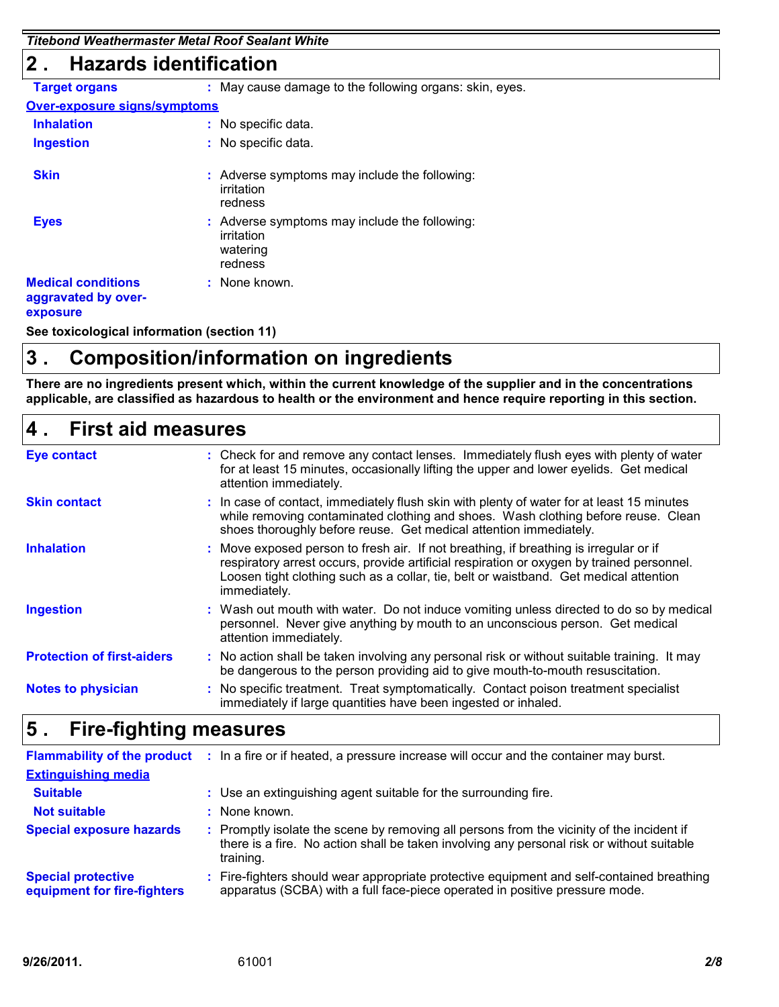*Titebond Weathermaster Metal Roof Sealant White*

### **2 . Hazards identification**

| <b>Target organs</b>                                         | : May cause damage to the following organs: skin, eyes.                            |
|--------------------------------------------------------------|------------------------------------------------------------------------------------|
| <b>Over-exposure signs/symptoms</b>                          |                                                                                    |
| <b>Inhalation</b>                                            | : No specific data.                                                                |
| <b>Ingestion</b>                                             | : No specific data.                                                                |
| <b>Skin</b>                                                  | : Adverse symptoms may include the following:<br>irritation<br>redness             |
| <b>Eyes</b>                                                  | : Adverse symptoms may include the following:<br>irritation<br>watering<br>redness |
| <b>Medical conditions</b><br>aggravated by over-<br>exposure | : None known.                                                                      |

**See toxicological information (section 11)**

## **3 . Composition/information on ingredients**

**There are no ingredients present which, within the current knowledge of the supplier and in the concentrations applicable, are classified as hazardous to health or the environment and hence require reporting in this section.**

## **First aid measures 4 .**

| <b>Eye contact</b>                | : Check for and remove any contact lenses. Immediately flush eyes with plenty of water<br>for at least 15 minutes, occasionally lifting the upper and lower eyelids. Get medical<br>attention immediately.                                                                                  |
|-----------------------------------|---------------------------------------------------------------------------------------------------------------------------------------------------------------------------------------------------------------------------------------------------------------------------------------------|
| <b>Skin contact</b>               | : In case of contact, immediately flush skin with plenty of water for at least 15 minutes<br>while removing contaminated clothing and shoes. Wash clothing before reuse. Clean<br>shoes thoroughly before reuse. Get medical attention immediately.                                         |
| <b>Inhalation</b>                 | : Move exposed person to fresh air. If not breathing, if breathing is irregular or if<br>respiratory arrest occurs, provide artificial respiration or oxygen by trained personnel.<br>Loosen tight clothing such as a collar, tie, belt or waistband. Get medical attention<br>immediately. |
| <b>Ingestion</b>                  | : Wash out mouth with water. Do not induce vomiting unless directed to do so by medical<br>personnel. Never give anything by mouth to an unconscious person. Get medical<br>attention immediately.                                                                                          |
| <b>Protection of first-aiders</b> | : No action shall be taken involving any personal risk or without suitable training. It may<br>be dangerous to the person providing aid to give mouth-to-mouth resuscitation.                                                                                                               |
| <b>Notes to physician</b>         | : No specific treatment. Treat symptomatically. Contact poison treatment specialist<br>immediately if large quantities have been ingested or inhaled.                                                                                                                                       |
|                                   |                                                                                                                                                                                                                                                                                             |

## **Fire-fighting measures 5 .**

|                                                          | Flammability of the product : In a fire or if heated, a pressure increase will occur and the container may burst.                                                                                   |
|----------------------------------------------------------|-----------------------------------------------------------------------------------------------------------------------------------------------------------------------------------------------------|
| <b>Extinguishing media</b>                               |                                                                                                                                                                                                     |
| <b>Suitable</b>                                          | : Use an extinguishing agent suitable for the surrounding fire.                                                                                                                                     |
| <b>Not suitable</b>                                      | : None known.                                                                                                                                                                                       |
| <b>Special exposure hazards</b>                          | : Promptly isolate the scene by removing all persons from the vicinity of the incident if<br>there is a fire. No action shall be taken involving any personal risk or without suitable<br>training. |
| <b>Special protective</b><br>equipment for fire-fighters | : Fire-fighters should wear appropriate protective equipment and self-contained breathing<br>apparatus (SCBA) with a full face-piece operated in positive pressure mode.                            |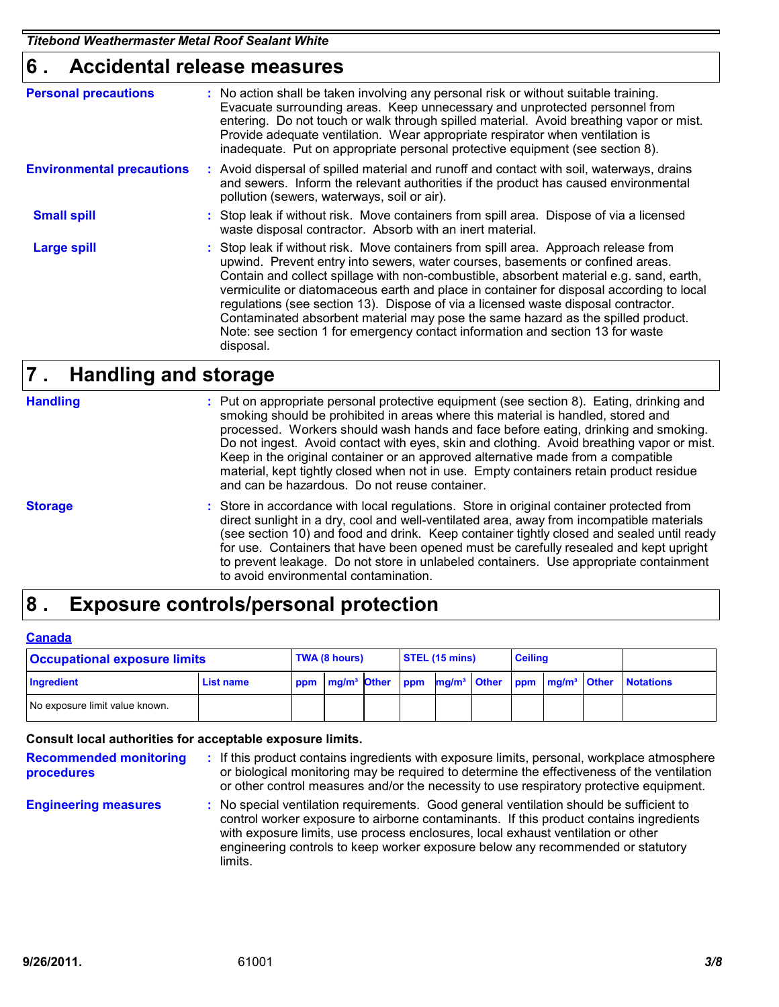## **Accidental release measures 6 .**

| <b>Personal precautions</b>      | : No action shall be taken involving any personal risk or without suitable training.<br>Evacuate surrounding areas. Keep unnecessary and unprotected personnel from<br>entering. Do not touch or walk through spilled material. Avoid breathing vapor or mist.<br>Provide adequate ventilation. Wear appropriate respirator when ventilation is<br>inadequate. Put on appropriate personal protective equipment (see section 8).                                                                                                                                                                                                      |
|----------------------------------|---------------------------------------------------------------------------------------------------------------------------------------------------------------------------------------------------------------------------------------------------------------------------------------------------------------------------------------------------------------------------------------------------------------------------------------------------------------------------------------------------------------------------------------------------------------------------------------------------------------------------------------|
| <b>Environmental precautions</b> | : Avoid dispersal of spilled material and runoff and contact with soil, waterways, drains<br>and sewers. Inform the relevant authorities if the product has caused environmental<br>pollution (sewers, waterways, soil or air).                                                                                                                                                                                                                                                                                                                                                                                                       |
| <b>Small spill</b>               | : Stop leak if without risk. Move containers from spill area. Dispose of via a licensed<br>waste disposal contractor. Absorb with an inert material.                                                                                                                                                                                                                                                                                                                                                                                                                                                                                  |
| Large spill                      | : Stop leak if without risk. Move containers from spill area. Approach release from<br>upwind. Prevent entry into sewers, water courses, basements or confined areas.<br>Contain and collect spillage with non-combustible, absorbent material e.g. sand, earth,<br>vermiculite or diatomaceous earth and place in container for disposal according to local<br>regulations (see section 13). Dispose of via a licensed waste disposal contractor.<br>Contaminated absorbent material may pose the same hazard as the spilled product.<br>Note: see section 1 for emergency contact information and section 13 for waste<br>disposal. |

## **Handling and storage 7 .**

#### **Handling**

Put on appropriate personal protective equipment (see section 8). Eating, drinking and **:** smoking should be prohibited in areas where this material is handled, stored and processed. Workers should wash hands and face before eating, drinking and smoking. Do not ingest. Avoid contact with eyes, skin and clothing. Avoid breathing vapor or mist. Keep in the original container or an approved alternative made from a compatible material, kept tightly closed when not in use. Empty containers retain product residue and can be hazardous. Do not reuse container.

**Storage**

Store in accordance with local regulations. Store in original container protected from **:** direct sunlight in a dry, cool and well-ventilated area, away from incompatible materials (see section 10) and food and drink. Keep container tightly closed and sealed until ready for use. Containers that have been opened must be carefully resealed and kept upright to prevent leakage. Do not store in unlabeled containers. Use appropriate containment to avoid environmental contamination.

## **Exposure controls/personal protection 8 .**

#### **Canada**

| <b>Occupational exposure limits</b> |           |  | TWA (8 hours) |  |  | STEL (15 mins) |  |  | <b>Ceiling</b>                                                                                    |  |                  |
|-------------------------------------|-----------|--|---------------|--|--|----------------|--|--|---------------------------------------------------------------------------------------------------|--|------------------|
| Ingredient                          | List name |  |               |  |  |                |  |  | ppm   mg/m <sup>3</sup> Other   ppm   mg/m <sup>3</sup>   Other   ppm   mg/m <sup>3</sup>   Other |  | <b>Notations</b> |
| No exposure limit value known.      |           |  |               |  |  |                |  |  |                                                                                                   |  |                  |

#### **Consult local authorities for acceptable exposure limits.**

| <b>Recommended monitoring</b><br>procedures | : If this product contains ingredients with exposure limits, personal, workplace atmosphere<br>or biological monitoring may be required to determine the effectiveness of the ventilation<br>or other control measures and/or the necessity to use respiratory protective equipment.                                                                                |
|---------------------------------------------|---------------------------------------------------------------------------------------------------------------------------------------------------------------------------------------------------------------------------------------------------------------------------------------------------------------------------------------------------------------------|
| <b>Engineering measures</b>                 | : No special ventilation requirements. Good general ventilation should be sufficient to<br>control worker exposure to airborne contaminants. If this product contains ingredients<br>with exposure limits, use process enclosures, local exhaust ventilation or other<br>engineering controls to keep worker exposure below any recommended or statutory<br>limits. |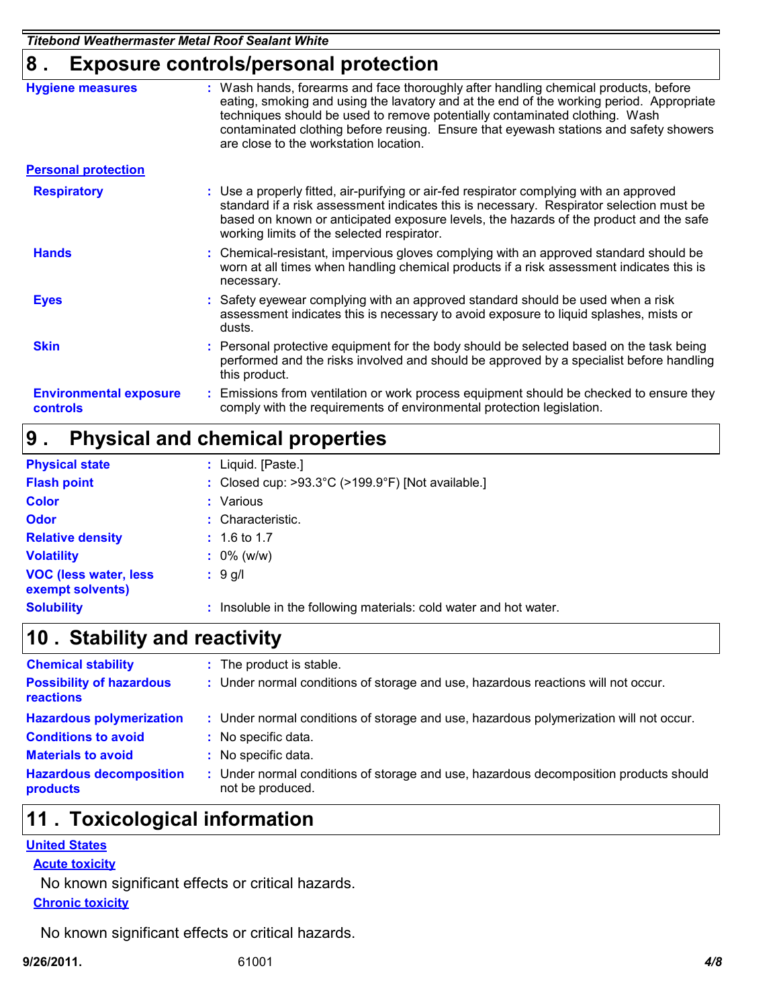*Titebond Weathermaster Metal Roof Sealant White*

## **8 . Exposure controls/personal protection**

|                                                  | . <del>.</del>                                                                                                                                                                                                                                                                                                                                                                                    |
|--------------------------------------------------|---------------------------------------------------------------------------------------------------------------------------------------------------------------------------------------------------------------------------------------------------------------------------------------------------------------------------------------------------------------------------------------------------|
| <b>Hygiene measures</b>                          | : Wash hands, forearms and face thoroughly after handling chemical products, before<br>eating, smoking and using the lavatory and at the end of the working period. Appropriate<br>techniques should be used to remove potentially contaminated clothing. Wash<br>contaminated clothing before reusing. Ensure that eyewash stations and safety showers<br>are close to the workstation location. |
| <b>Personal protection</b>                       |                                                                                                                                                                                                                                                                                                                                                                                                   |
| <b>Respiratory</b>                               | : Use a properly fitted, air-purifying or air-fed respirator complying with an approved<br>standard if a risk assessment indicates this is necessary. Respirator selection must be<br>based on known or anticipated exposure levels, the hazards of the product and the safe<br>working limits of the selected respirator.                                                                        |
| <b>Hands</b>                                     | : Chemical-resistant, impervious gloves complying with an approved standard should be<br>worn at all times when handling chemical products if a risk assessment indicates this is<br>necessary.                                                                                                                                                                                                   |
| <b>Eyes</b>                                      | : Safety eyewear complying with an approved standard should be used when a risk<br>assessment indicates this is necessary to avoid exposure to liquid splashes, mists or<br>dusts.                                                                                                                                                                                                                |
| <b>Skin</b>                                      | : Personal protective equipment for the body should be selected based on the task being<br>performed and the risks involved and should be approved by a specialist before handling<br>this product.                                                                                                                                                                                               |
| <b>Environmental exposure</b><br><b>controls</b> | : Emissions from ventilation or work process equipment should be checked to ensure they<br>comply with the requirements of environmental protection legislation.                                                                                                                                                                                                                                  |

#### **Physical and chemical properties 9 .**

| <b>Physical state</b>                             | : Liquid. [Paste.]                                                     |
|---------------------------------------------------|------------------------------------------------------------------------|
| <b>Flash point</b>                                | : Closed cup: $>93.3^{\circ}$ C ( $>199.9^{\circ}$ F) [Not available.] |
| <b>Color</b>                                      | Various                                                                |
| <b>Odor</b>                                       | Characteristic.                                                        |
| <b>Relative density</b>                           | $: 1.6$ to 1.7                                                         |
| <b>Volatility</b>                                 | $: 0\%$ (w/w)                                                          |
| <b>VOC (less water, less)</b><br>exempt solvents) | : 9 q/l                                                                |
| <b>Solubility</b>                                 | Insoluble in the following materials: cold water and hot water.        |

## **Stability and reactivity 10 .**

| <b>Chemical stability</b>                    | : The product is stable.                                                                                  |
|----------------------------------------------|-----------------------------------------------------------------------------------------------------------|
| <b>Possibility of hazardous</b><br>reactions | : Under normal conditions of storage and use, hazardous reactions will not occur.                         |
| <b>Hazardous polymerization</b>              | : Under normal conditions of storage and use, hazardous polymerization will not occur.                    |
| <b>Conditions to avoid</b>                   | : No specific data.                                                                                       |
| <b>Materials to avoid</b>                    | : No specific data.                                                                                       |
| <b>Hazardous decomposition</b><br>products   | : Under normal conditions of storage and use, hazardous decomposition products should<br>not be produced. |

## **Toxicological information 11 .**

#### **United States**

#### **Acute toxicity**

**Chronic toxicity** No known significant effects or critical hazards.

No known significant effects or critical hazards.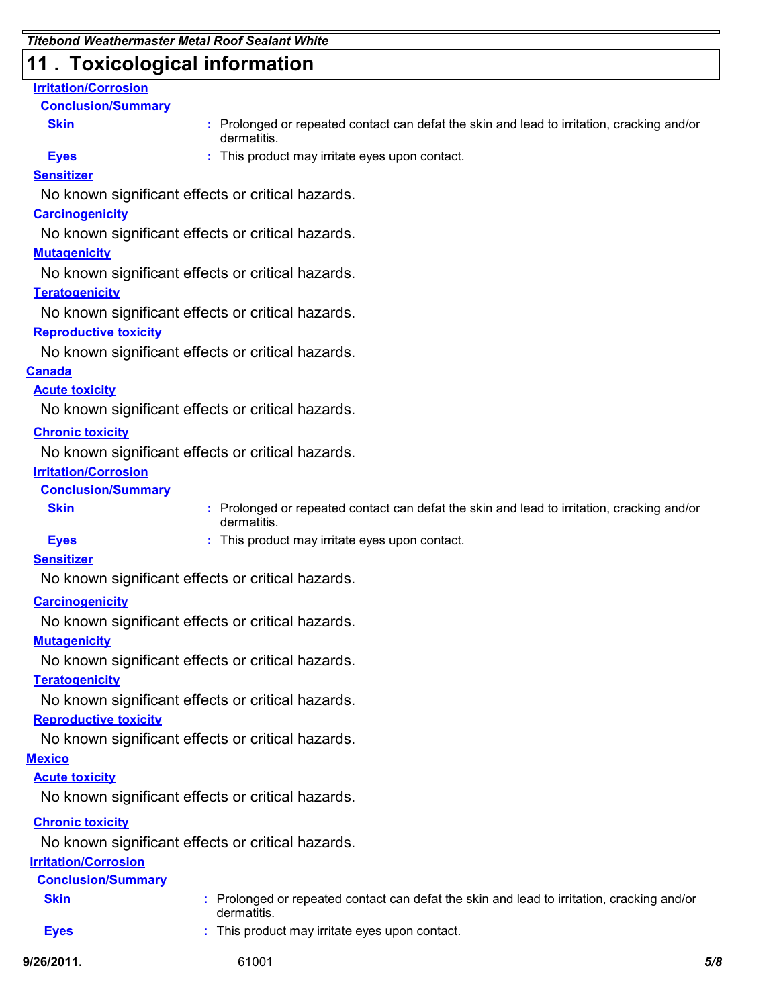## **11 . Toxicological information**

#### **Irritation/Corrosion**

#### **Conclusion/Summary**

**Skin**

**:** Prolonged or repeated contact can defat the skin and lead to irritation, cracking and/or dermatitis.

**Eyes**

**:** This product may irritate eyes upon contact.

#### **Sensitizer**

No known significant effects or critical hazards.

#### **Carcinogenicity**

No known significant effects or critical hazards.

#### **Mutagenicity**

No known significant effects or critical hazards.

#### **Teratogenicity**

No known significant effects or critical hazards.

#### **Reproductive toxicity**

No known significant effects or critical hazards.

#### **Canada**

#### **Acute toxicity**

No known significant effects or critical hazards.

#### **Chronic toxicity**

No known significant effects or critical hazards.

#### **Irritation/Corrosion**

#### **Conclusion/Summary**

**Skin**

**:** Prolonged or repeated contact can defat the skin and lead to irritation, cracking and/or dermatitis.

**Eyes**

**:** This product may irritate eyes upon contact.

#### **Sensitizer**

No known significant effects or critical hazards.

#### **Carcinogenicity**

No known significant effects or critical hazards.

#### **Mutagenicity**

No known significant effects or critical hazards.

#### **Teratogenicity**

No known significant effects or critical hazards.

#### **Reproductive toxicity**

No known significant effects or critical hazards.

#### **Mexico**

#### **Acute toxicity**

No known significant effects or critical hazards.

#### **Chronic toxicity**

No known significant effects or critical hazards.

#### **Irritation/Corrosion**

| <b>Conclusion/Summary</b> |                                                                                                           |     |
|---------------------------|-----------------------------------------------------------------------------------------------------------|-----|
| <b>Skin</b>               | : Prolonged or repeated contact can defat the skin and lead to irritation, cracking and/or<br>dermatitis. |     |
| <b>Eves</b>               | : This product may irritate eyes upon contact.                                                            |     |
| 9/26/2011.                | 61001                                                                                                     | 5/8 |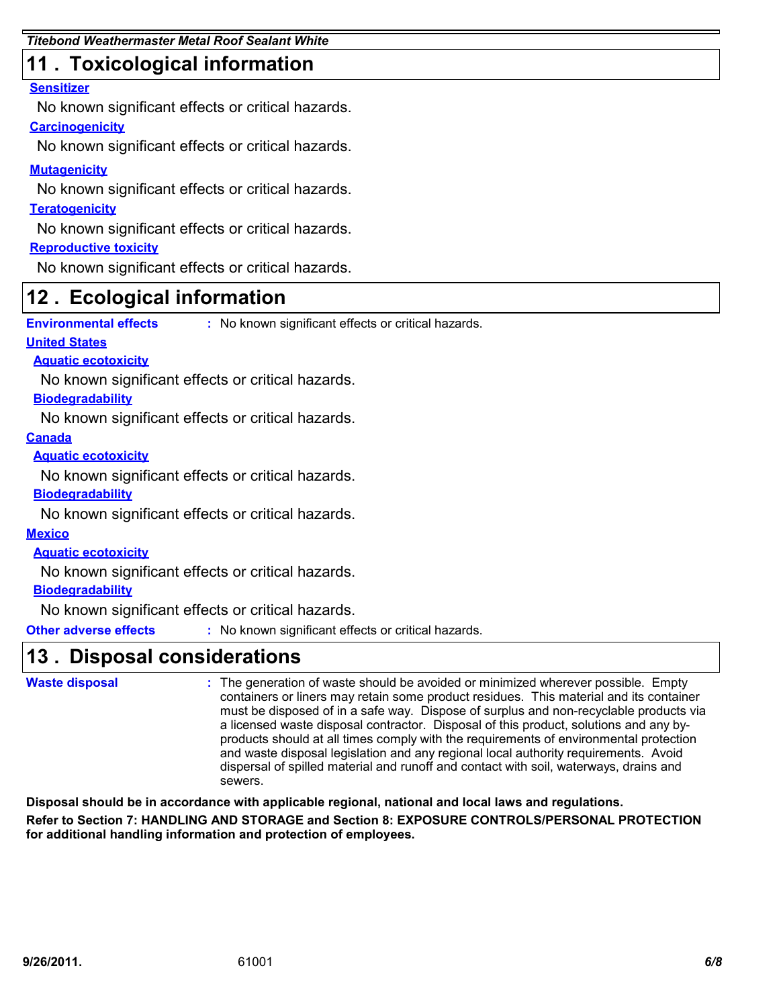## **11 . Toxicological information**

#### **Sensitizer**

No known significant effects or critical hazards.

#### **Carcinogenicity**

No known significant effects or critical hazards.

#### **Mutagenicity**

No known significant effects or critical hazards.

#### **Teratogenicity**

No known significant effects or critical hazards.

#### **Reproductive toxicity**

No known significant effects or critical hazards.

## **Ecological information 12 .**

**Environmental effects :** No known significant effects or critical hazards.

#### **United States**

**Aquatic ecotoxicity**

No known significant effects or critical hazards.

#### **Biodegradability**

No known significant effects or critical hazards.

#### **Canada**

**Aquatic ecotoxicity**

No known significant effects or critical hazards.

#### **Biodegradability**

No known significant effects or critical hazards.

#### **Mexico**

**Aquatic ecotoxicity**

No known significant effects or critical hazards.

#### **Biodegradability**

No known significant effects or critical hazards.

**Other adverse effects** : No known significant effects or critical hazards.

## **Disposal considerations 13 .**

```
The generation of waste should be avoided or minimized wherever possible. Empty
:
                                  containers or liners may retain some product residues. This material and its container
                                  must be disposed of in a safe way. Dispose of surplus and non-recyclable products via
                                  a licensed waste disposal contractor. Disposal of this product, solutions and any by-
                                  products should at all times comply with the requirements of environmental protection
                                  and waste disposal legislation and any regional local authority requirements. Avoid
                                  dispersal of spilled material and runoff and contact with soil, waterways, drains and
                                  sewers.
Waste disposal
```
**Disposal should be in accordance with applicable regional, national and local laws and regulations. Refer to Section 7: HANDLING AND STORAGE and Section 8: EXPOSURE CONTROLS/PERSONAL PROTECTION for additional handling information and protection of employees.**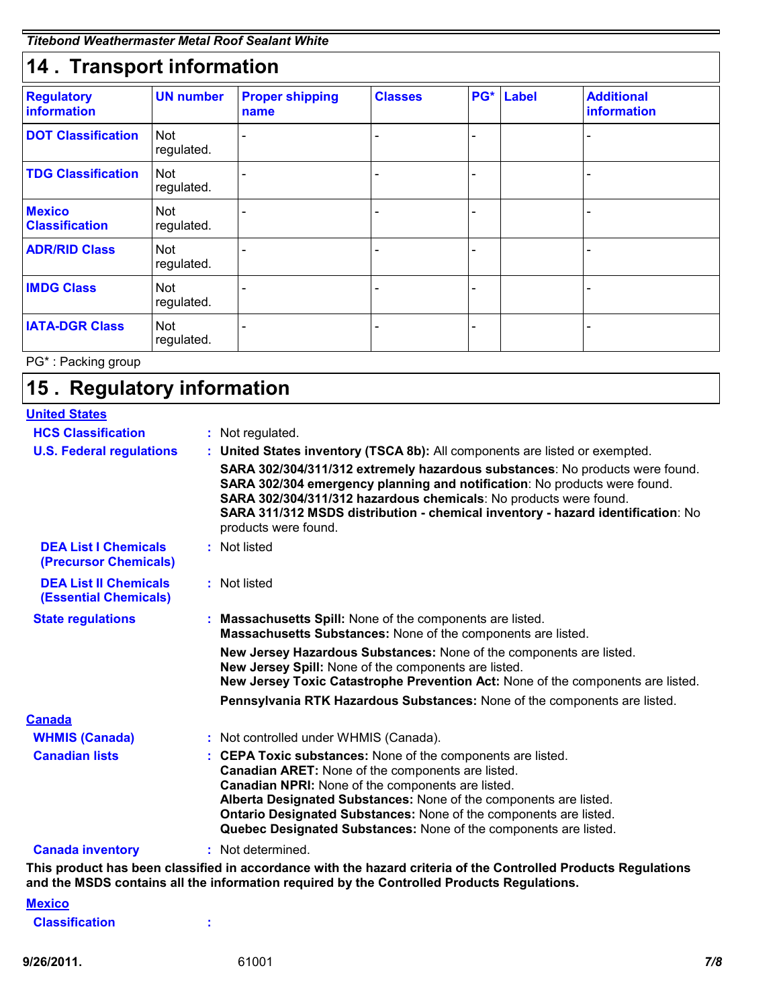| 14. Transport information               |                          |                                |                |                          |           |                                  |  |
|-----------------------------------------|--------------------------|--------------------------------|----------------|--------------------------|-----------|----------------------------------|--|
| <b>Regulatory</b><br><b>information</b> | <b>UN number</b>         | <b>Proper shipping</b><br>name | <b>Classes</b> |                          | PG* Label | <b>Additional</b><br>information |  |
| <b>DOT Classification</b>               | <b>Not</b><br>regulated. |                                |                |                          |           |                                  |  |
| <b>TDG Classification</b>               | <b>Not</b><br>regulated. |                                |                |                          |           |                                  |  |
| <b>Mexico</b><br><b>Classification</b>  | <b>Not</b><br>regulated. |                                |                |                          |           |                                  |  |
| <b>ADR/RID Class</b>                    | <b>Not</b><br>regulated. |                                |                |                          |           |                                  |  |
| <b>IMDG Class</b>                       | <b>Not</b><br>regulated. |                                |                | $\overline{\phantom{0}}$ |           |                                  |  |
| <b>IATA-DGR Class</b>                   | <b>Not</b><br>regulated. |                                |                |                          |           |                                  |  |

PG\* : Packing group

## **Regulatory information 15 .**

| <b>United States</b>                                         |                                                                                                                                                                                                                                                                                                                                           |
|--------------------------------------------------------------|-------------------------------------------------------------------------------------------------------------------------------------------------------------------------------------------------------------------------------------------------------------------------------------------------------------------------------------------|
| <b>HCS Classification</b>                                    | : Not regulated.                                                                                                                                                                                                                                                                                                                          |
| <b>U.S. Federal regulations</b>                              | : United States inventory (TSCA 8b): All components are listed or exempted.                                                                                                                                                                                                                                                               |
|                                                              | SARA 302/304/311/312 extremely hazardous substances: No products were found.<br>SARA 302/304 emergency planning and notification: No products were found.<br>SARA 302/304/311/312 hazardous chemicals: No products were found.<br>SARA 311/312 MSDS distribution - chemical inventory - hazard identification: No<br>products were found. |
| <b>DEA List I Chemicals</b><br><b>(Precursor Chemicals)</b>  | : Not listed                                                                                                                                                                                                                                                                                                                              |
| <b>DEA List II Chemicals</b><br><b>(Essential Chemicals)</b> | : Not listed                                                                                                                                                                                                                                                                                                                              |
| <b>State regulations</b>                                     | Massachusetts Spill: None of the components are listed.<br>Massachusetts Substances: None of the components are listed.                                                                                                                                                                                                                   |
|                                                              | New Jersey Hazardous Substances: None of the components are listed.<br>New Jersey Spill: None of the components are listed.<br>New Jersey Toxic Catastrophe Prevention Act: None of the components are listed.                                                                                                                            |
| <b>Canada</b>                                                | Pennsylvania RTK Hazardous Substances: None of the components are listed.                                                                                                                                                                                                                                                                 |
| <b>WHMIS (Canada)</b>                                        | : Not controlled under WHMIS (Canada).                                                                                                                                                                                                                                                                                                    |
| <b>Canadian lists</b>                                        | : CEPA Toxic substances: None of the components are listed.<br>Canadian ARET: None of the components are listed.<br>Canadian NPRI: None of the components are listed.<br>Alberta Designated Substances: None of the components are listed.                                                                                                |
|                                                              | Ontario Designated Substances: None of the components are listed.<br>Quebec Designated Substances: None of the components are listed.                                                                                                                                                                                                     |
| <b>Canada inventory</b>                                      | : Not determined.                                                                                                                                                                                                                                                                                                                         |
|                                                              | This product has been classified in accordance with the hazard criteria of the Controlled Products Regulations<br>and the MSDS contains all the information required by the Controlled Products Regulations.                                                                                                                              |
| <b>Mexico</b>                                                |                                                                                                                                                                                                                                                                                                                                           |